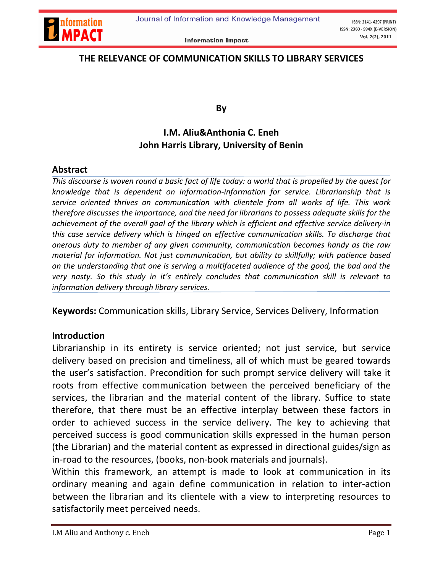

## THE RELEVANCE OF COMMUNICATION SKILLS TO LIBRARY SERVICES

By

# I.M. Aliu&Anthonia C. Eneh John Harris Library, University of Benin

### Abstract

*This discourse is woven round a basic fact of life today: a world that is propelled by the quest for knowledge that is dependent on information-information for service. Librarianship that is service oriented thrives on communication with clientele from all works of life. This work therefore discusses the importance, and the need for librarians to possess adequate skills for the achievement of the overall goal of the library which is efficient and effective service delivery-in this case service delivery which is hinged on effective communication skills. To discharge that onerous duty to member of any given community, communication becomes handy as the raw material for information. Not just communication, but ability to skillfully; with patience based on the understanding that one is serving a multifaceted audience of the good, the bad and the very nasty. So this study in it's entirely concludes that communication skill is relevant to information delivery through library services.*

Keywords: Communication skills, Library Service, Services Delivery, Information

#### Introduction

Librarianship in its entirety is service oriented; not just service, but service delivery based on precision and timeliness, all of which must be geared towards the user's satisfaction. Precondition for such prompt service delivery will take it roots from effective communication between the perceived beneficiary of the services, the librarian and the material content of the library. Suffice to state therefore, that there must be an effective interplay between these factors in order to achieved success in the service delivery. The key to achieving that perceived success is good communication skills expressed in the human person (the Librarian) and the material content as expressed in directional guides/sign as in-road to the resources, (books, non-book materials and journals).

Within this framework, an attempt is made to look at communication in its ordinary meaning and again define communication in relation to inter-action between the librarian and its clientele with a view to interpreting resources to satisfactorily meet perceived needs.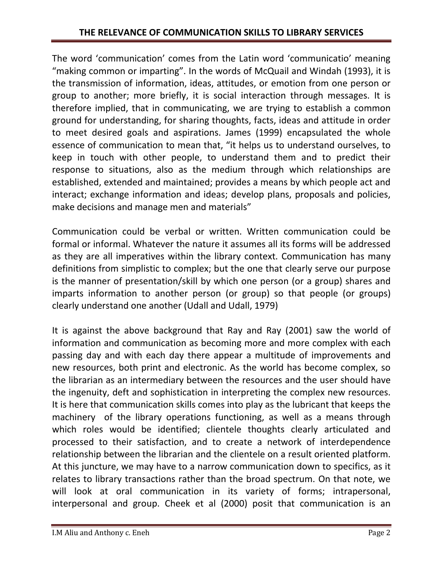The word 'communication' comes from the Latin word 'communicatio' meaning "making common or imparting". In the words of McQuail and Windah (1993), it is the transmission of information, ideas, attitudes, or emotion from one person or group to another; more briefly, it is social interaction through messages. It is therefore implied, that in communicating, we are trying to establish a common ground for understanding, for sharing thoughts, facts, ideas and attitude in order to meet desired goals and aspirations. James (1999) encapsulated the whole essence of communication to mean that, "it helps us to understand ourselves, to keep in touch with other people, to understand them and to predict their response to situations, also as the medium through which relationships are established, extended and maintained; provides a means by which people act and interact; exchange information and ideas; develop plans, proposals and policies, make decisions and manage men and materials"

Communication could be verbal or written. Written communication could be formal or informal. Whatever the nature it assumes all its forms will be addressed as they are all imperatives within the library context. Communication has many definitions from simplistic to complex; but the one that clearly serve our purpose is the manner of presentation/skill by which one person (or a group) shares and imparts information to another person (or group) so that people (or groups) clearly understand one another (Udall and Udall, 1979)

It is against the above background that Ray and Ray (2001) saw the world of information and communication as becoming more and more complex with each passing day and with each day there appear a multitude of improvements and new resources, both print and electronic. As the world has become complex, so the librarian as an intermediary between the resources and the user should have the ingenuity, deft and sophistication in interpreting the complex new resources. It is here that communication skills comes into play as the lubricant that keeps the machinery of the library operations functioning, as well as a means through which roles would be identified; clientele thoughts clearly articulated and processed to their satisfaction, and to create a network of interdependence relationship between the librarian and the clientele on a result oriented platform. At this juncture, we may have to a narrow communication down to specifics, as it relates to library transactions rather than the broad spectrum. On that note, we will look at oral communication in its variety of forms; intrapersonal, interpersonal and group. Cheek et al (2000) posit that communication is an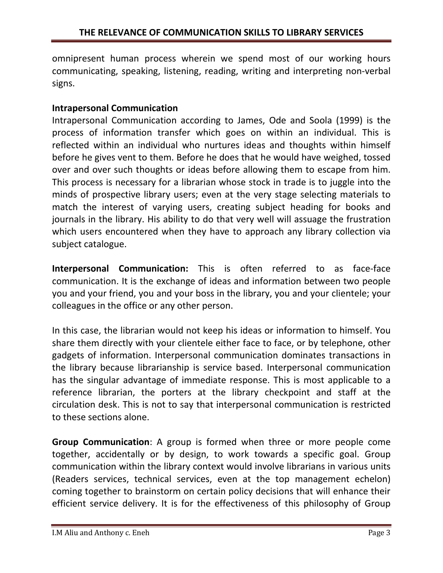omnipresent human process wherein we spend most of our working hours communicating, speaking, listening, reading, writing and interpreting non-verbal signs.

## Intrapersonal Communication

Intrapersonal Communication according to James, Ode and Soola (1999) is the process of information transfer which goes on within an individual. This is reflected within an individual who nurtures ideas and thoughts within himself before he gives vent to them. Before he does that he would have weighed, tossed over and over such thoughts or ideas before allowing them to escape from him. This process is necessary for a librarian whose stock in trade is to juggle into the minds of prospective library users; even at the very stage selecting materials to match the interest of varying users, creating subject heading for books and journals in the library. His ability to do that very well will assuage the frustration which users encountered when they have to approach any library collection via subject catalogue.

Interpersonal Communication: This is often referred to as face-face communication. It is the exchange of ideas and information between two people you and your friend, you and your boss in the library, you and your clientele; your colleagues in the office or any other person.

In this case, the librarian would not keep his ideas or information to himself. You share them directly with your clientele either face to face, or by telephone, other gadgets of information. Interpersonal communication dominates transactions in the library because librarianship is service based. Interpersonal communication has the singular advantage of immediate response. This is most applicable to a reference librarian, the porters at the library checkpoint and staff at the circulation desk. This is not to say that interpersonal communication is restricted to these sections alone.

Group Communication: A group is formed when three or more people come together, accidentally or by design, to work towards a specific goal. Group communication within the library context would involve librarians in various units (Readers services, technical services, even at the top management echelon) coming together to brainstorm on certain policy decisions that will enhance their efficient service delivery. It is for the effectiveness of this philosophy of Group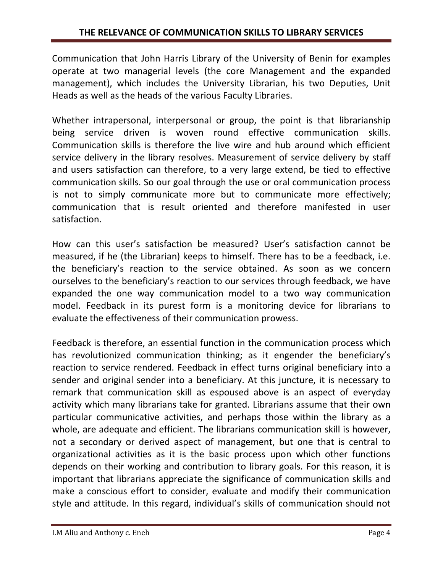Communication that John Harris Library of the University of Benin for examples operate at two managerial levels (the core Management and the expanded management), which includes the University Librarian, his two Deputies, Unit Heads as well as the heads of the various Faculty Libraries.

Whether intrapersonal, interpersonal or group, the point is that librarianship being service driven is woven round effective communication skills. Communication skills is therefore the live wire and hub around which efficient service delivery in the library resolves. Measurement of service delivery by staff and users satisfaction can therefore, to a very large extend, be tied to effective communication skills. So our goal through the use or oral communication process is not to simply communicate more but to communicate more effectively; communication that is result oriented and therefore manifested in user satisfaction.

How can this user's satisfaction be measured? User's satisfaction cannot be measured, if he (the Librarian) keeps to himself. There has to be a feedback, i.e. the beneficiary's reaction to the service obtained. As soon as we concern ourselves to the beneficiary's reaction to our services through feedback, we have expanded the one way communication model to a two way communication model. Feedback in its purest form is a monitoring device for librarians to evaluate the effectiveness of their communication prowess.

Feedback is therefore, an essential function in the communication process which has revolutionized communication thinking; as it engender the beneficiary's reaction to service rendered. Feedback in effect turns original beneficiary into a sender and original sender into a beneficiary. At this juncture, it is necessary to remark that communication skill as espoused above is an aspect of everyday activity which many librarians take for granted. Librarians assume that their own particular communicative activities, and perhaps those within the library as a whole, are adequate and efficient. The librarians communication skill is however, not a secondary or derived aspect of management, but one that is central to organizational activities as it is the basic process upon which other functions depends on their working and contribution to library goals. For this reason, it is important that librarians appreciate the significance of communication skills and make a conscious effort to consider, evaluate and modify their communication style and attitude. In this regard, individual's skills of communication should not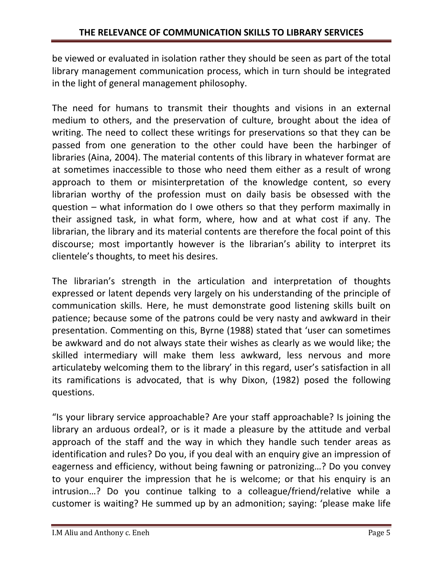be viewed or evaluated in isolation rather they should be seen as part of the total library management communication process, which in turn should be integrated in the light of general management philosophy.

The need for humans to transmit their thoughts and visions in an external medium to others, and the preservation of culture, brought about the idea of writing. The need to collect these writings for preservations so that they can be passed from one generation to the other could have been the harbinger of libraries (Aina, 2004). The material contents of this library in whatever format are at sometimes inaccessible to those who need them either as a result of wrong approach to them or misinterpretation of the knowledge content, so every librarian worthy of the profession must on daily basis be obsessed with the question – what information do I owe others so that they perform maximally in their assigned task, in what form, where, how and at what cost if any. The librarian, the library and its material contents are therefore the focal point of this discourse; most importantly however is the librarian's ability to interpret its clientele's thoughts, to meet his desires.

The librarian's strength in the articulation and interpretation of thoughts expressed or latent depends very largely on his understanding of the principle of communication skills. Here, he must demonstrate good listening skills built on patience; because some of the patrons could be very nasty and awkward in their presentation. Commenting on this, Byrne (1988) stated that 'user can sometimes be awkward and do not always state their wishes as clearly as we would like; the skilled intermediary will make them less awkward, less nervous and more articulateby welcoming them to the library' in this regard, user's satisfaction in all its ramifications is advocated, that is why Dixon, (1982) posed the following questions.

"Is your library service approachable? Are your staff approachable? Is joining the library an arduous ordeal?, or is it made a pleasure by the attitude and verbal approach of the staff and the way in which they handle such tender areas as identification and rules? Do you, if you deal with an enquiry give an impression of eagerness and efficiency, without being fawning or patronizing…? Do you convey to your enquirer the impression that he is welcome; or that his enquiry is an intrusion…? Do you continue talking to a colleague/friend/relative while a customer is waiting? He summed up by an admonition; saying: 'please make life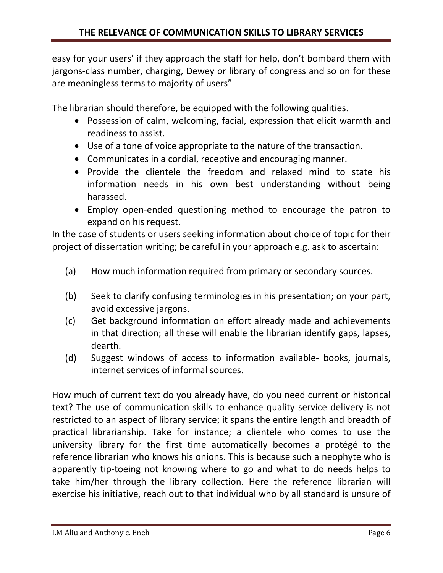easy for your users' if they approach the staff for help, don't bombard them with jargons-class number, charging, Dewey or library of congress and so on for these are meaningless terms to majority of users"

The librarian should therefore, be equipped with the following qualities.

- Possession of calm, welcoming, facial, expression that elicit warmth and readiness to assist.
- Use of a tone of voice appropriate to the nature of the transaction.
- Communicates in a cordial, receptive and encouraging manner.
- Provide the clientele the freedom and relaxed mind to state his information needs in his own best understanding without being harassed.
- Employ open-ended questioning method to encourage the patron to expand on his request.

In the case of students or users seeking information about choice of topic for their project of dissertation writing; be careful in your approach e.g. ask to ascertain:

- (a) How much information required from primary or secondary sources.
- (b) Seek to clarify confusing terminologies in his presentation; on your part, avoid excessive jargons.
- (c) Get background information on effort already made and achievements in that direction; all these will enable the librarian identify gaps, lapses, dearth.
- (d) Suggest windows of access to information available- books, journals, internet services of informal sources.

How much of current text do you already have, do you need current or historical text? The use of communication skills to enhance quality service delivery is not restricted to an aspect of library service; it spans the entire length and breadth of practical librarianship. Take for instance; a clientele who comes to use the university library for the first time automatically becomes a protégé to the reference librarian who knows his onions. This is because such a neophyte who is apparently tip-toeing not knowing where to go and what to do needs helps to take him/her through the library collection. Here the reference librarian will exercise his initiative, reach out to that individual who by all standard is unsure of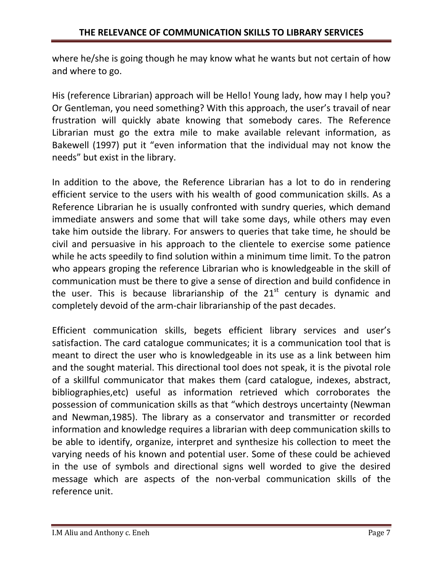where he/she is going though he may know what he wants but not certain of how and where to go.

His (reference Librarian) approach will be Hello! Young lady, how may I help you? Or Gentleman, you need something? With this approach, the user's travail of near frustration will quickly abate knowing that somebody cares. The Reference Librarian must go the extra mile to make available relevant information, as Bakewell (1997) put it "even information that the individual may not know the needs" but exist in the library.

In addition to the above, the Reference Librarian has a lot to do in rendering efficient service to the users with his wealth of good communication skills. As a Reference Librarian he is usually confronted with sundry queries, which demand immediate answers and some that will take some days, while others may even take him outside the library. For answers to queries that take time, he should be civil and persuasive in his approach to the clientele to exercise some patience while he acts speedily to find solution within a minimum time limit. To the patron who appears groping the reference Librarian who is knowledgeable in the skill of communication must be there to give a sense of direction and build confidence in the user. This is because librarianship of the  $21<sup>st</sup>$  century is dynamic and completely devoid of the arm-chair librarianship of the past decades.

Efficient communication skills, begets efficient library services and user's satisfaction. The card catalogue communicates; it is a communication tool that is meant to direct the user who is knowledgeable in its use as a link between him and the sought material. This directional tool does not speak, it is the pivotal role of a skillful communicator that makes them (card catalogue, indexes, abstract, bibliographies,etc) useful as information retrieved which corroborates the possession of communication skills as that "which destroys uncertainty (Newman and Newman,1985). The library as a conservator and transmitter or recorded information and knowledge requires a librarian with deep communication skills to be able to identify, organize, interpret and synthesize his collection to meet the varying needs of his known and potential user. Some of these could be achieved in the use of symbols and directional signs well worded to give the desired message which are aspects of the non-verbal communication skills of the reference unit.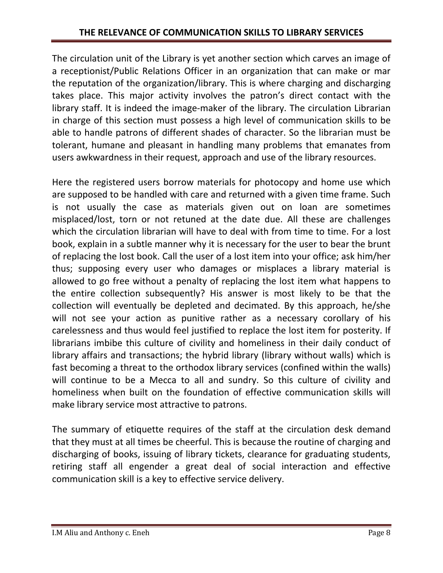The circulation unit of the Library is yet another section which carves an image of a receptionist/Public Relations Officer in an organization that can make or mar the reputation of the organization/library. This is where charging and discharging takes place. This major activity involves the patron's direct contact with the library staff. It is indeed the image-maker of the library. The circulation Librarian in charge of this section must possess a high level of communication skills to be able to handle patrons of different shades of character. So the librarian must be tolerant, humane and pleasant in handling many problems that emanates from users awkwardness in their request, approach and use of the library resources.

Here the registered users borrow materials for photocopy and home use which are supposed to be handled with care and returned with a given time frame. Such is not usually the case as materials given out on loan are sometimes misplaced/lost, torn or not retuned at the date due. All these are challenges which the circulation librarian will have to deal with from time to time. For a lost book, explain in a subtle manner why it is necessary for the user to bear the brunt of replacing the lost book. Call the user of a lost item into your office; ask him/her thus; supposing every user who damages or misplaces a library material is allowed to go free without a penalty of replacing the lost item what happens to the entire collection subsequently? His answer is most likely to be that the collection will eventually be depleted and decimated. By this approach, he/she will not see your action as punitive rather as a necessary corollary of his carelessness and thus would feel justified to replace the lost item for posterity. If librarians imbibe this culture of civility and homeliness in their daily conduct of library affairs and transactions; the hybrid library (library without walls) which is fast becoming a threat to the orthodox library services (confined within the walls) will continue to be a Mecca to all and sundry. So this culture of civility and homeliness when built on the foundation of effective communication skills will make library service most attractive to patrons.

The summary of etiquette requires of the staff at the circulation desk demand that they must at all times be cheerful. This is because the routine of charging and discharging of books, issuing of library tickets, clearance for graduating students, retiring staff all engender a great deal of social interaction and effective communication skill is a key to effective service delivery.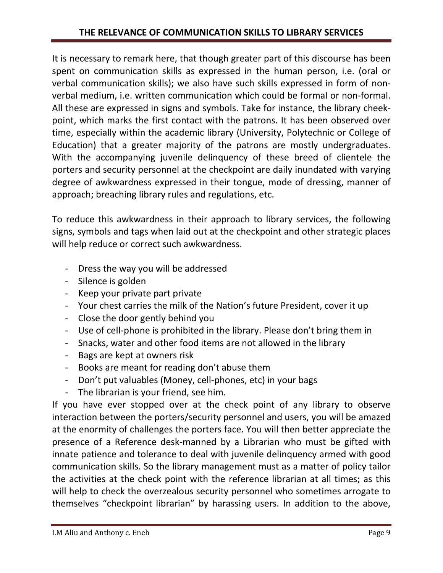It is necessary to remark here, that though greater part of this discourse has been spent on communication skills as expressed in the human person, i.e. (oral or verbal communication skills); we also have such skills expressed in form of nonverbal medium, i.e. written communication which could be formal or non-formal. All these are expressed in signs and symbols. Take for instance, the library cheekpoint, which marks the first contact with the patrons. It has been observed over time, especially within the academic library (University, Polytechnic or College of Education) that a greater majority of the patrons are mostly undergraduates. With the accompanying juvenile delinquency of these breed of clientele the porters and security personnel at the checkpoint are daily inundated with varying degree of awkwardness expressed in their tongue, mode of dressing, manner of approach; breaching library rules and regulations, etc.

To reduce this awkwardness in their approach to library services, the following signs, symbols and tags when laid out at the checkpoint and other strategic places will help reduce or correct such awkwardness.

- Dress the way you will be addressed
- Silence is golden
- Keep your private part private
- Your chest carries the milk of the Nation's future President, cover it up
- Close the door gently behind you
- Use of cell-phone is prohibited in the library. Please don't bring them in
- Snacks, water and other food items are not allowed in the library
- Bags are kept at owners risk
- Books are meant for reading don't abuse them
- Don't put valuables (Money, cell-phones, etc) in your bags
- The librarian is your friend, see him.

If you have ever stopped over at the check point of any library to observe interaction between the porters/security personnel and users, you will be amazed at the enormity of challenges the porters face. You will then better appreciate the presence of a Reference desk-manned by a Librarian who must be gifted with innate patience and tolerance to deal with juvenile delinquency armed with good communication skills. So the library management must as a matter of policy tailor the activities at the check point with the reference librarian at all times; as this will help to check the overzealous security personnel who sometimes arrogate to themselves "checkpoint librarian" by harassing users. In addition to the above,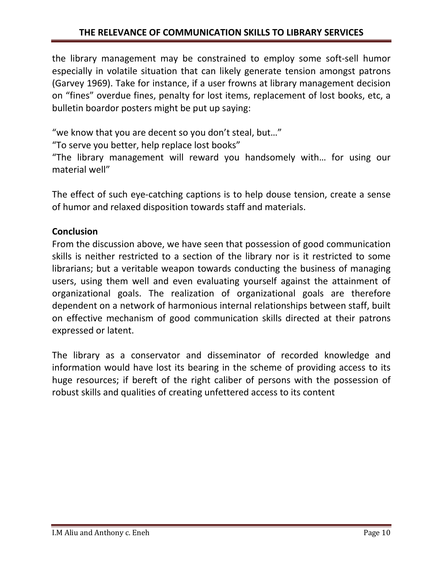the library management may be constrained to employ some soft-sell humor especially in volatile situation that can likely generate tension amongst patrons (Garvey 1969). Take for instance, if a user frowns at library management decision on "fines" overdue fines, penalty for lost items, replacement of lost books, etc, a bulletin boardor posters might be put up saying:

"we know that you are decent so you don't steal, but…"

"To serve you better, help replace lost books"

"The library management will reward you handsomely with… for using our material well"

The effect of such eye-catching captions is to help douse tension, create a sense of humor and relaxed disposition towards staff and materials.

## **Conclusion**

From the discussion above, we have seen that possession of good communication skills is neither restricted to a section of the library nor is it restricted to some librarians; but a veritable weapon towards conducting the business of managing users, using them well and even evaluating yourself against the attainment of organizational goals. The realization of organizational goals are therefore dependent on a network of harmonious internal relationships between staff, built on effective mechanism of good communication skills directed at their patrons expressed or latent.

The library as a conservator and disseminator of recorded knowledge and information would have lost its bearing in the scheme of providing access to its huge resources; if bereft of the right caliber of persons with the possession of robust skills and qualities of creating unfettered access to its content